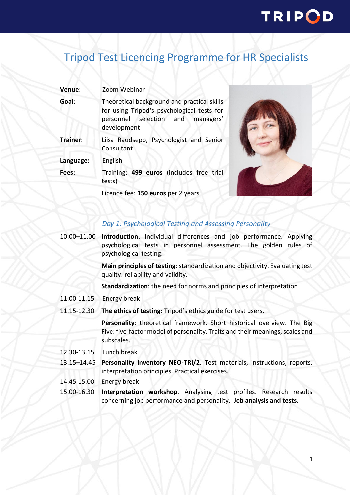# TRIPOD

## Tripod Test Licencing Programme for HR Specialists

| Venue:    | Zoom Webinar                                                                                                                                     |
|-----------|--------------------------------------------------------------------------------------------------------------------------------------------------|
| Goal:     | Theoretical background and practical skills<br>for using Tripod's psychological tests for<br>personnel selection and<br>managers'<br>development |
| Trainer:  | Liisa Raudsepp, Psychologist and Senior<br>Consultant                                                                                            |
| Language: | English                                                                                                                                          |
| Fees:     | Training: 499 euros (includes free trial<br>tests)                                                                                               |
|           | Licence fee: 150 euros per 2 years                                                                                                               |



### *Day 1: Psychological Testing and Assessing Personality*

10.00–11.00 **Introduction.** Individual differences and job performance. Applying psychological tests in personnel assessment. The golden rules of psychological testing.

> **Main principles of testing**: standardization and objectivity. Evaluating test quality: reliability and validity.

**Standardization**: the need for norms and principles of interpretation.

- 11.00-11.15 Energy break
- 11.15-12.30 **The ethics of testing:** Tripod's ethics guide for test users.

**Personality**: theoretical framework. Short historical overview. The Big Five: five-factor model of personality. Traits and their meanings, scales and subscales.

- 12.30-13.15 Lunch break
- 13.15–14.45 **Personality inventory NEO-TRI/2.** Test materials, instructions, reports, interpretation principles. Practical exercises.
- 14.45-15.00 Energy break
- 15.00-16.30 **Interpretation workshop**. Analysing test profiles. Research results concerning job performance and personality. **Job analysis and tests.**